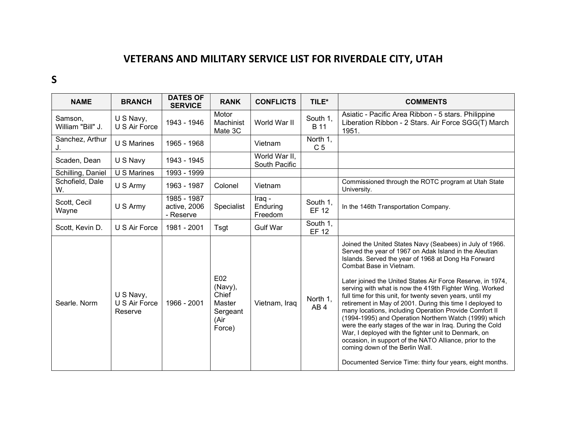## VETERANS AND MILITARY SERVICE LIST FOR RIVERDALE CITY, UTAH

## S

| <b>NAME</b>                  | <b>BRANCH</b>                         | <b>DATES OF</b><br><b>SERVICE</b>        | <b>RANK</b>                                                     | <b>CONFLICTS</b>               | TILE*                       | <b>COMMENTS</b>                                                                                                                                                                                                                                                                                                                                                                                                                                                                                                                                                                                                                                                                                                                                                                                                                                            |
|------------------------------|---------------------------------------|------------------------------------------|-----------------------------------------------------------------|--------------------------------|-----------------------------|------------------------------------------------------------------------------------------------------------------------------------------------------------------------------------------------------------------------------------------------------------------------------------------------------------------------------------------------------------------------------------------------------------------------------------------------------------------------------------------------------------------------------------------------------------------------------------------------------------------------------------------------------------------------------------------------------------------------------------------------------------------------------------------------------------------------------------------------------------|
| Samson,<br>William "Bill" J. | U S Navy,<br>U S Air Force            | 1943 - 1946                              | Motor<br>Machinist<br>Mate 3C                                   | World War II                   | South 1,<br><b>B</b> 11     | Asiatic - Pacific Area Ribbon - 5 stars. Philippine<br>Liberation Ribbon - 2 Stars. Air Force SGG(T) March<br>1951.                                                                                                                                                                                                                                                                                                                                                                                                                                                                                                                                                                                                                                                                                                                                        |
| Sanchez, Arthur              | <b>U S Marines</b>                    | 1965 - 1968                              |                                                                 | Vietnam                        | North 1,<br>C <sub>5</sub>  |                                                                                                                                                                                                                                                                                                                                                                                                                                                                                                                                                                                                                                                                                                                                                                                                                                                            |
| Scaden, Dean                 | U S Navy                              | 1943 - 1945                              |                                                                 | World War II,<br>South Pacific |                             |                                                                                                                                                                                                                                                                                                                                                                                                                                                                                                                                                                                                                                                                                                                                                                                                                                                            |
| Schilling, Daniel            | $\overline{U}$ S Marines              | 1993 - 1999                              |                                                                 |                                |                             |                                                                                                                                                                                                                                                                                                                                                                                                                                                                                                                                                                                                                                                                                                                                                                                                                                                            |
| Schofield, Dale<br>W.        | U S Army                              | 1963 - 1987                              | Colonel                                                         | Vietnam                        |                             | Commissioned through the ROTC program at Utah State<br>University.                                                                                                                                                                                                                                                                                                                                                                                                                                                                                                                                                                                                                                                                                                                                                                                         |
| Scott, Cecil<br>Wayne        | U S Army                              | 1985 - 1987<br>active, 2006<br>- Reserve | Specialist                                                      | Iraq -<br>Enduring<br>Freedom  | South 1,<br>EF 12           | In the 146th Transportation Company.                                                                                                                                                                                                                                                                                                                                                                                                                                                                                                                                                                                                                                                                                                                                                                                                                       |
| Scott, Kevin D.              | U S Air Force                         | 1981 - 2001                              | Tsgt                                                            | <b>Gulf War</b>                | South 1,<br><b>EF 12</b>    |                                                                                                                                                                                                                                                                                                                                                                                                                                                                                                                                                                                                                                                                                                                                                                                                                                                            |
| Searle. Norm                 | U S Navy,<br>U S Air Force<br>Reserve | 1966 - 2001                              | E02<br>(Navy),<br>Chief<br>Master<br>Sergeant<br>(Air<br>Force) | Vietnam, Iraq                  | North 1,<br>AB <sub>4</sub> | Joined the United States Navy (Seabees) in July of 1966.<br>Served the year of 1967 on Adak Island in the Aleutian<br>Islands. Served the year of 1968 at Dong Ha Forward<br>Combat Base in Vietnam.<br>Later joined the United States Air Force Reserve, in 1974,<br>serving with what is now the 419th Fighter Wing. Worked<br>full time for this unit, for twenty seven years, until my<br>retirement in May of 2001. During this time I deployed to<br>many locations, including Operation Provide Comfort II<br>(1994-1995) and Operation Northern Watch (1999) which<br>were the early stages of the war in Iraq. During the Cold<br>War, I deployed with the fighter unit to Denmark, on<br>occasion, in support of the NATO Alliance, prior to the<br>coming down of the Berlin Wall.<br>Documented Service Time: thirty four years, eight months. |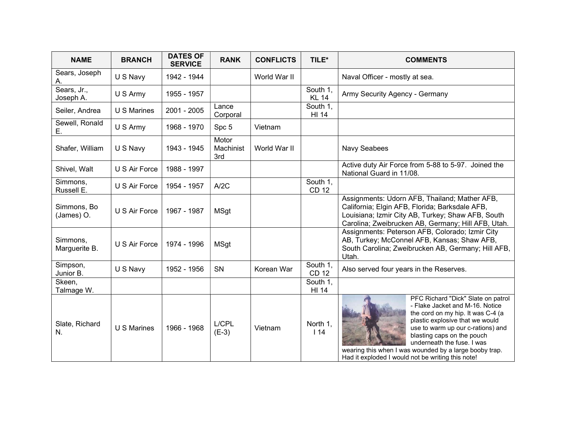| <b>NAME</b>               | <b>BRANCH</b>      | <b>DATES OF</b><br><b>SERVICE</b> | <b>RANK</b>               | <b>CONFLICTS</b> | TILE*                    | <b>COMMENTS</b>                                                                                                                                                                                                                                                                                                                                               |
|---------------------------|--------------------|-----------------------------------|---------------------------|------------------|--------------------------|---------------------------------------------------------------------------------------------------------------------------------------------------------------------------------------------------------------------------------------------------------------------------------------------------------------------------------------------------------------|
| Sears, Joseph<br>А.       | U S Navy           | 1942 - 1944                       |                           | World War II     |                          | Naval Officer - mostly at sea.                                                                                                                                                                                                                                                                                                                                |
| Sears, Jr.,<br>Joseph A.  | U S Army           | 1955 - 1957                       |                           |                  | South 1,<br><b>KL 14</b> | Army Security Agency - Germany                                                                                                                                                                                                                                                                                                                                |
| Seiler, Andrea            | U S Marines        | 2001 - 2005                       | Lance<br>Corporal         |                  | South 1,<br>HI 14        |                                                                                                                                                                                                                                                                                                                                                               |
| Sewell, Ronald<br>Е.      | U S Army           | 1968 - 1970                       | Spc 5                     | Vietnam          |                          |                                                                                                                                                                                                                                                                                                                                                               |
| Shafer, William           | U S Navy           | 1943 - 1945                       | Motor<br>Machinist<br>3rd | World War II     |                          | Navy Seabees                                                                                                                                                                                                                                                                                                                                                  |
| Shivel, Walt              | U S Air Force      | 1988 - 1997                       |                           |                  |                          | Active duty Air Force from 5-88 to 5-97. Joined the<br>National Guard in 11/08.                                                                                                                                                                                                                                                                               |
| Simmons,<br>Russell E.    | U S Air Force      | 1954 - 1957                       | A/2C                      |                  | South 1,<br><b>CD 12</b> |                                                                                                                                                                                                                                                                                                                                                               |
| Simmons, Bo<br>(James) O. | U S Air Force      | 1967 - 1987                       | MSgt                      |                  |                          | Assignments: Udorn AFB, Thailand; Mather AFB,<br>California; Elgin AFB, Florida; Barksdale AFB,<br>Louisiana; Izmir City AB, Turkey; Shaw AFB, South<br>Carolina; Zweibrucken AB, Germany; Hill AFB, Utah.                                                                                                                                                    |
| Simmons,<br>Marguerite B. | U S Air Force      | 1974 - 1996                       | MSgt                      |                  |                          | Assignments: Peterson AFB, Colorado; Izmir City<br>AB, Turkey; McConnel AFB, Kansas; Shaw AFB,<br>South Carolina; Zweibrucken AB, Germany; Hill AFB,<br>Utah.                                                                                                                                                                                                 |
| Simpson,<br>Junior B.     | U S Navy           | 1952 - 1956                       | SN                        | Korean War       | South 1,<br><b>CD 12</b> | Also served four years in the Reserves.                                                                                                                                                                                                                                                                                                                       |
| Skeen,<br>Talmage W.      |                    |                                   |                           |                  | South 1,<br>HI 14        |                                                                                                                                                                                                                                                                                                                                                               |
| Slate, Richard<br>N.      | <b>U S Marines</b> | 1966 - 1968                       | L/CPL<br>$(E-3)$          | Vietnam          | North 1,<br>114          | PFC Richard "Dick" Slate on patrol<br>- Flake Jacket and M-16. Notice<br>the cord on my hip. It was C-4 (a<br>plastic explosive that we would<br>use to warm up our c-rations) and<br>blasting caps on the pouch<br>underneath the fuse. I was<br>wearing this when I was wounded by a large booby trap.<br>Had it exploded I would not be writing this note! |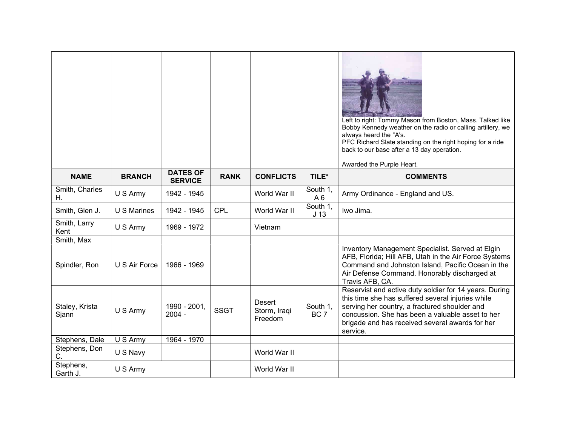|                         |               |                                   |             |                                          |                             | Left to right: Tommy Mason from Boston, Mass. Talked like<br>Bobby Kennedy weather on the radio or calling artillery, we<br>always heard the "A's.<br>PFC Richard Slate standing on the right hoping for a ride<br>back to our base after a 13 day operation.<br>Awarded the Purple Heart. |
|-------------------------|---------------|-----------------------------------|-------------|------------------------------------------|-----------------------------|--------------------------------------------------------------------------------------------------------------------------------------------------------------------------------------------------------------------------------------------------------------------------------------------|
| <b>NAME</b>             | <b>BRANCH</b> | <b>DATES OF</b><br><b>SERVICE</b> | <b>RANK</b> | <b>CONFLICTS</b>                         | TILE*                       | <b>COMMENTS</b>                                                                                                                                                                                                                                                                            |
| Smith, Charles<br>Η.    | U S Army      | 1942 - 1945                       |             | World War II                             | South 1,<br>A <sub>6</sub>  | Army Ordinance - England and US.                                                                                                                                                                                                                                                           |
| Smith, Glen J.          | U S Marines   | 1942 - 1945                       | <b>CPL</b>  | World War II                             | South 1,<br>J <sub>13</sub> | Iwo Jima.                                                                                                                                                                                                                                                                                  |
| Smith, Larry<br>Kent    | U S Army      | 1969 - 1972                       |             | Vietnam                                  |                             |                                                                                                                                                                                                                                                                                            |
| Smith, Max              |               |                                   |             |                                          |                             |                                                                                                                                                                                                                                                                                            |
| Spindler, Ron           | U S Air Force | 1966 - 1969                       |             |                                          |                             | Inventory Management Specialist. Served at Elgin<br>AFB, Florida; Hill AFB, Utah in the Air Force Systems<br>Command and Johnston Island, Pacific Ocean in the<br>Air Defense Command. Honorably discharged at<br>Travis AFB, CA.                                                          |
| Staley, Krista<br>Sjann | U S Army      | 1990 - 2001,<br>$2004 -$          | <b>SSGT</b> | <b>Desert</b><br>Storm, Iraqi<br>Freedom | South 1,<br>BC <sub>7</sub> | Reservist and active duty soldier for 14 years. During<br>this time she has suffered several injuries while<br>serving her country, a fractured shoulder and<br>concussion. She has been a valuable asset to her<br>brigade and has received several awards for her<br>service.            |
| Stephens, Dale          | U S Army      | 1964 - 1970                       |             |                                          |                             |                                                                                                                                                                                                                                                                                            |
| Stephens, Don<br>C.     | U S Navy      |                                   |             | World War II                             |                             |                                                                                                                                                                                                                                                                                            |
| Stephens,<br>Garth J.   | U S Army      |                                   |             | World War II                             |                             |                                                                                                                                                                                                                                                                                            |